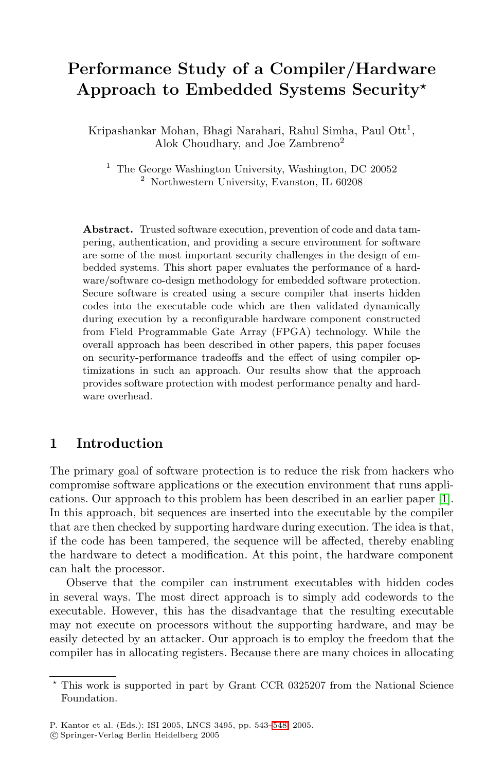# **Performance Study of a Compiler/Hardware Approach to Embedded Systems Security**

Kripashankar Mohan, Bhagi Narahari, Rahul Simha, Paul Ott<sup>1</sup>, Alok Choudhary, and Joe Zambreno<sup>2</sup>

<sup>1</sup> The George Washington University, Washington, DC 20052 <sup>2</sup> Northwestern University, Evanston, IL 60208

**Abstract.** Trusted software execution, prevention of code and data tampering, authentication, and providing a secure environment for software are some of the most important security challenges in the design of embedded systems. This short paper evaluates the performance of a hardware/software co-design methodology for embedded software protection. Secure software is created using a secure compiler that inserts hidden codes into the executable code which are then validated dynamically during execution by a reconfigurable hardware component constructed from Field Programmable Gate Array (FPGA) technology. While the overall approach has been described in other papers, this paper focuses on security-performance tradeoffs and the effect of using compiler optimizations in such an approach. Our results show that the approach provides software protection with modest performance penalty and hardware overhead.

#### **1 Introduction**

The primary goal of software protection is to reduce the risk from hackers who compromise software applications or the execution environment that runs applications. Our approach to this problem has been described in an earlier paper [\[1\]](#page-5-0). In this approach, bit sequences are inserted into the executable by the compiler that are then checked by supporting hardware during execution. The idea is that, if the code has been tampered, the sequence will be affected, thereby enabling the hardware to detect a modification. At this point, the hardware component can halt the processor.

Observe that the compiler can instrument executables with hidden codes in several ways. The most direct approach is to simply add codewords to the executable. However, this has the disadvantage that the resulting executable may not execute on processors without the supporting hardware, and may be easily detected by an attacker. Our approach is to employ the freedom that the compiler has in allocating registers. Because there are many choices in allocating

This work is supported in part by Grant CCR 0325207 from the National Science Foundation.

P. Kantor et al. (Eds.): ISI 2005, LNCS 3495, pp. 543[–548,](#page-5-1) 2005. c Springer-Verlag Berlin Heidelberg 2005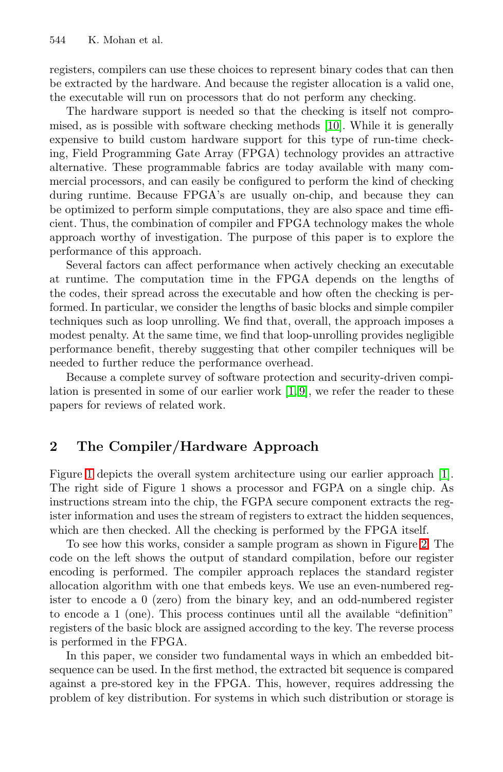registers, compilers can use these choices to represent binary codes that can then be extracted by the hardware. And because the register allocation is a valid one, the executable will run on processors that do not perform any checking.

The hardware support is needed so that the checking is itself not compromised, as is possible with software checking methods [\[10\]](#page-5-2). While it is generally expensive to build custom hardware support for this type of run-time checking, Field Programming Gate Array (FPGA) technology provides an attractive alternative. These programmable fabrics are today available with many commercial processors, and can easily be configured to perform the kind of checking during runtime. Because FPGA's are usually on-chip, and because they can be optimized to perform simple computations, they are also space and time efficient. Thus, the combination of compiler and FPGA technology makes the whole approach worthy of investigation. The purpose of this paper is to explore the performance of this approach.

Several factors can affect performance when actively checking an executable at runtime. The computation time in the FPGA depends on the lengths of the codes, their spread across the executable and how often the checking is performed. In particular, we consider the lengths of basic blocks and simple compiler techniques such as loop unrolling. We find that, overall, the approach imposes a modest penalty. At the same time, we find that loop-unrolling provides negligible performance benefit, thereby suggesting that other compiler techniques will be needed to further reduce the performance overhead.

Because a complete survey of software protection and security-driven compilation is presented in some of our earlier work [\[1,](#page-5-0) [9\]](#page-5-3), we refer the reader to these papers for reviews of related work.

### **2 The Compiler/Hardware Approach**

Figure [1](#page-2-0) depicts the overall system architecture using our earlier approach [\[1\]](#page-5-0). The right side of Figure 1 shows a processor and FGPA on a single chip. As instructions stream into the chip, the FGPA secure component extracts the register information and uses the stream of registers to extract the hidden sequences, which are then checked. All the checking is performed by the FPGA itself.

To see how this works, consider a sample program as shown in Figure [2.](#page-2-1) The code on the left shows the output of standard compilation, before our register encoding is performed. The compiler approach replaces the standard register allocation algorithm with one that embeds keys. We use an even-numbered register to encode a 0 (zero) from the binary key, and an odd-numbered register to encode a 1 (one). This process continues until all the available "definition" registers of the basic block are assigned according to the key. The reverse process is performed in the FPGA.

In this paper, we consider two fundamental ways in which an embedded bitsequence can be used. In the first method, the extracted bit sequence is compared against a pre-stored key in the FPGA. This, however, requires addressing the problem of key distribution. For systems in which such distribution or storage is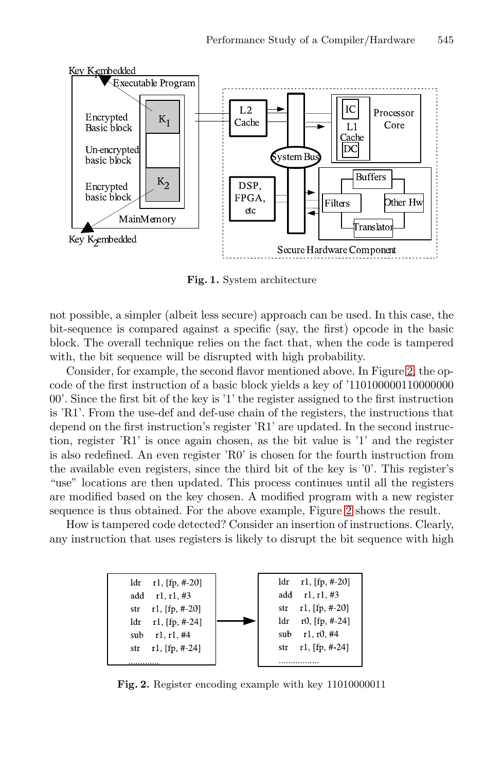

<span id="page-2-0"></span>**Fig. 1.** System architecture

not possible, a simpler (albeit less secure) approach can be used. In this case, the bit-sequence is compared against a specific (say, the first) opcode in the basic block. The overall technique relies on the fact that, when the code is tampered with, the bit sequence will be disrupted with high probability.

Consider, for example, the second flavor mentioned above. In Figure [2,](#page-2-1) the opcode of the first instruction of a basic block yields a key of '110100000110000000 00'. Since the first bit of the key is '1' the register assigned to the first instruction is 'R1'. From the use-def and def-use chain of the registers, the instructions that depend on the first instruction's register 'R1' are updated. In the second instruction, register 'R1' is once again chosen, as the bit value is '1' and the register is also redefined. An even register 'R0' is chosen for the fourth instruction from the available even registers, since the third bit of the key is '0'. This register's "use" locations are then updated. This process continues until all the registers are modified based on the key chosen. A modified program with a new register sequence is thus obtained. For the above example, Figure [2](#page-2-1) shows the result.

How is tampered code detected? Consider an insertion of instructions. Clearly, any instruction that uses registers is likely to disrupt the bit sequence with high



<span id="page-2-1"></span>**Fig. 2.** Register encoding example with key 11010000011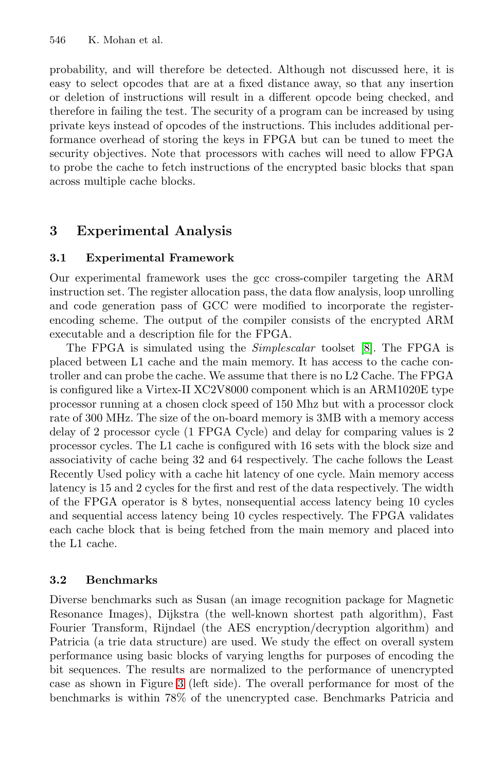probability, and will therefore be detected. Although not discussed here, it is easy to select opcodes that are at a fixed distance away, so that any insertion or deletion of instructions will result in a different opcode being checked, and therefore in failing the test. The security of a program can be increased by using private keys instead of opcodes of the instructions. This includes additional performance overhead of storing the keys in FPGA but can be tuned to meet the security objectives. Note that processors with caches will need to allow FPGA to probe the cache to fetch instructions of the encrypted basic blocks that span across multiple cache blocks.

# **3 Experimental Analysis**

#### **3.1 Experimental Framework**

Our experimental framework uses the gcc cross-compiler targeting the ARM instruction set. The register allocation pass, the data flow analysis, loop unrolling and code generation pass of GCC were modified to incorporate the registerencoding scheme. The output of the compiler consists of the encrypted ARM executable and a description file for the FPGA.

The FPGA is simulated using the *Simplescalar* toolset [\[8\]](#page-5-4). The FPGA is placed between L1 cache and the main memory. It has access to the cache controller and can probe the cache. We assume that there is no L2 Cache. The FPGA is configured like a Virtex-II XC2V8000 component which is an ARM1020E type processor running at a chosen clock speed of 150 Mhz but with a processor clock rate of 300 MHz. The size of the on-board memory is 3MB with a memory access delay of 2 processor cycle (1 FPGA Cycle) and delay for comparing values is 2 processor cycles. The L1 cache is configured with 16 sets with the block size and associativity of cache being 32 and 64 respectively. The cache follows the Least Recently Used policy with a cache hit latency of one cycle. Main memory access latency is 15 and 2 cycles for the first and rest of the data respectively. The width of the FPGA operator is 8 bytes, nonsequential access latency being 10 cycles and sequential access latency being 10 cycles respectively. The FPGA validates each cache block that is being fetched from the main memory and placed into the L1 cache.

#### **3.2 Benchmarks**

Diverse benchmarks such as Susan (an image recognition package for Magnetic Resonance Images), Dijkstra (the well-known shortest path algorithm), Fast Fourier Transform, Rijndael (the AES encryption/decryption algorithm) and Patricia (a trie data structure) are used. We study the effect on overall system performance using basic blocks of varying lengths for purposes of encoding the bit sequences. The results are normalized to the performance of unencrypted case as shown in Figure [3](#page-4-0) (left side). The overall performance for most of the benchmarks is within 78% of the unencrypted case. Benchmarks Patricia and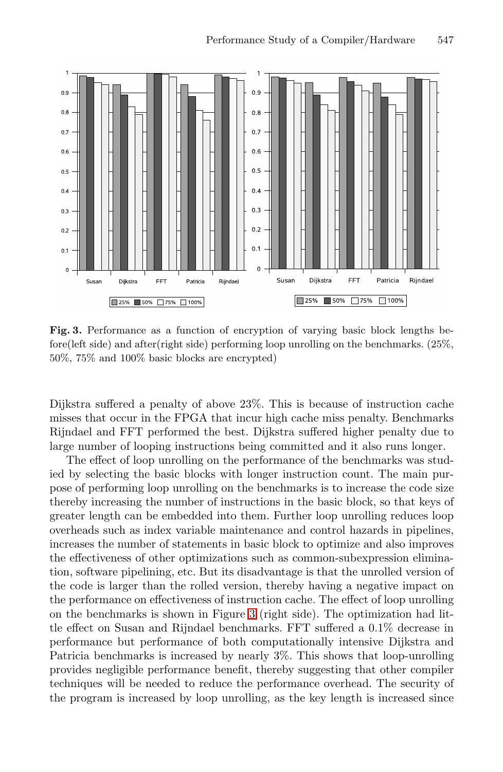

<span id="page-4-0"></span>**Fig. 3.** Performance as a function of encryption of varying basic block lengths before(left side) and after(right side) performing loop unrolling on the benchmarks. (25%, 50%, 75% and 100% basic blocks are encrypted)

Dijkstra suffered a penalty of above 23%. This is because of instruction cache misses that occur in the FPGA that incur high cache miss penalty. Benchmarks Rijndael and FFT performed the best. Dijkstra suffered higher penalty due to large number of looping instructions being committed and it also runs longer.

The effect of loop unrolling on the performance of the benchmarks was studied by selecting the basic blocks with longer instruction count. The main purpose of performing loop unrolling on the benchmarks is to increase the code size thereby increasing the number of instructions in the basic block, so that keys of greater length can be embedded into them. Further loop unrolling reduces loop overheads such as index variable maintenance and control hazards in pipelines, increases the number of statements in basic block to optimize and also improves the effectiveness of other optimizations such as common-subexpression elimination, software pipelining, etc. But its disadvantage is that the unrolled version of the code is larger than the rolled version, thereby having a negative impact on the performance on effectiveness of instruction cache. The effect of loop unrolling on the benchmarks is shown in Figure [3](#page-4-0) (right side). The optimization had little effect on Susan and Rijndael benchmarks. FFT suffered a 0.1% decrease in performance but performance of both computationally intensive Dijkstra and Patricia benchmarks is increased by nearly 3%. This shows that loop-unrolling provides negligible performance benefit, thereby suggesting that other compiler techniques will be needed to reduce the performance overhead. The security of the program is increased by loop unrolling, as the key length is increased since